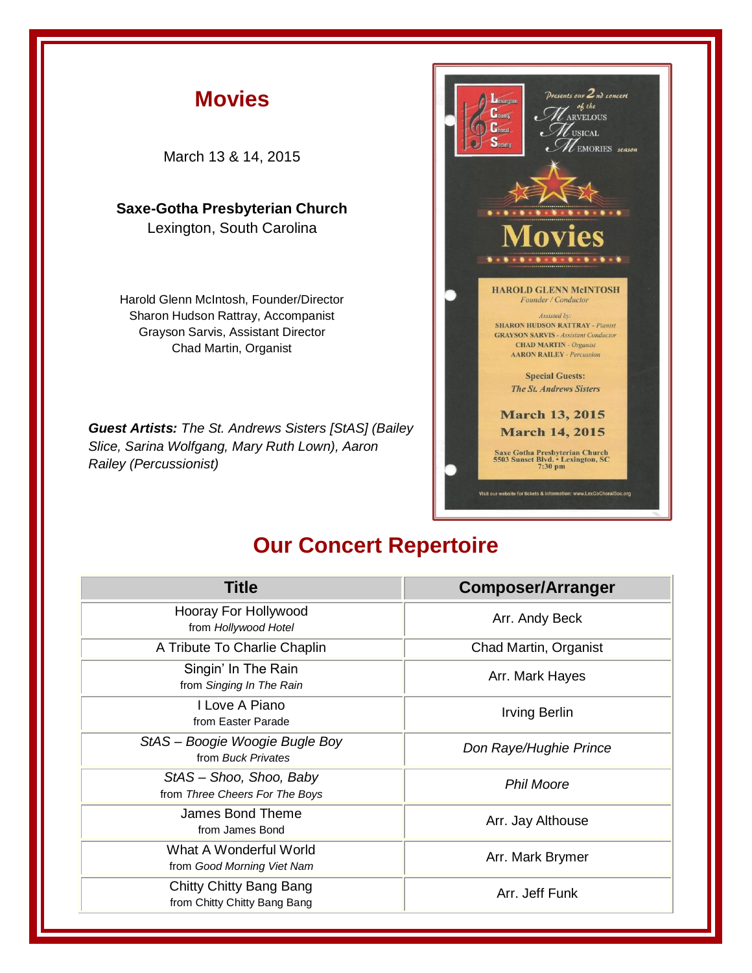

## **Our Concert Repertoire**

| <b>Title</b>                                              | <b>Composer/Arranger</b> |
|-----------------------------------------------------------|--------------------------|
| Hooray For Hollywood<br>from Hollywood Hotel              | Arr. Andy Beck           |
| A Tribute To Charlie Chaplin                              | Chad Martin, Organist    |
| Singin' In The Rain<br>from Singing In The Rain           | Arr. Mark Hayes          |
| I Love A Piano<br>from Easter Parade                      | <b>Irving Berlin</b>     |
| StAS - Boogie Woogie Bugle Boy<br>from Buck Privates      | Don Raye/Hughie Prince   |
| StAS - Shoo, Shoo, Baby<br>from Three Cheers For The Boys | <b>Phil Moore</b>        |
| James Bond Theme<br>from James Bond                       | Arr. Jay Althouse        |
| What A Wonderful World<br>from Good Morning Viet Nam      | Arr. Mark Brymer         |
| Chitty Chitty Bang Bang<br>from Chitty Chitty Bang Bang   | Arr. Jeff Funk           |